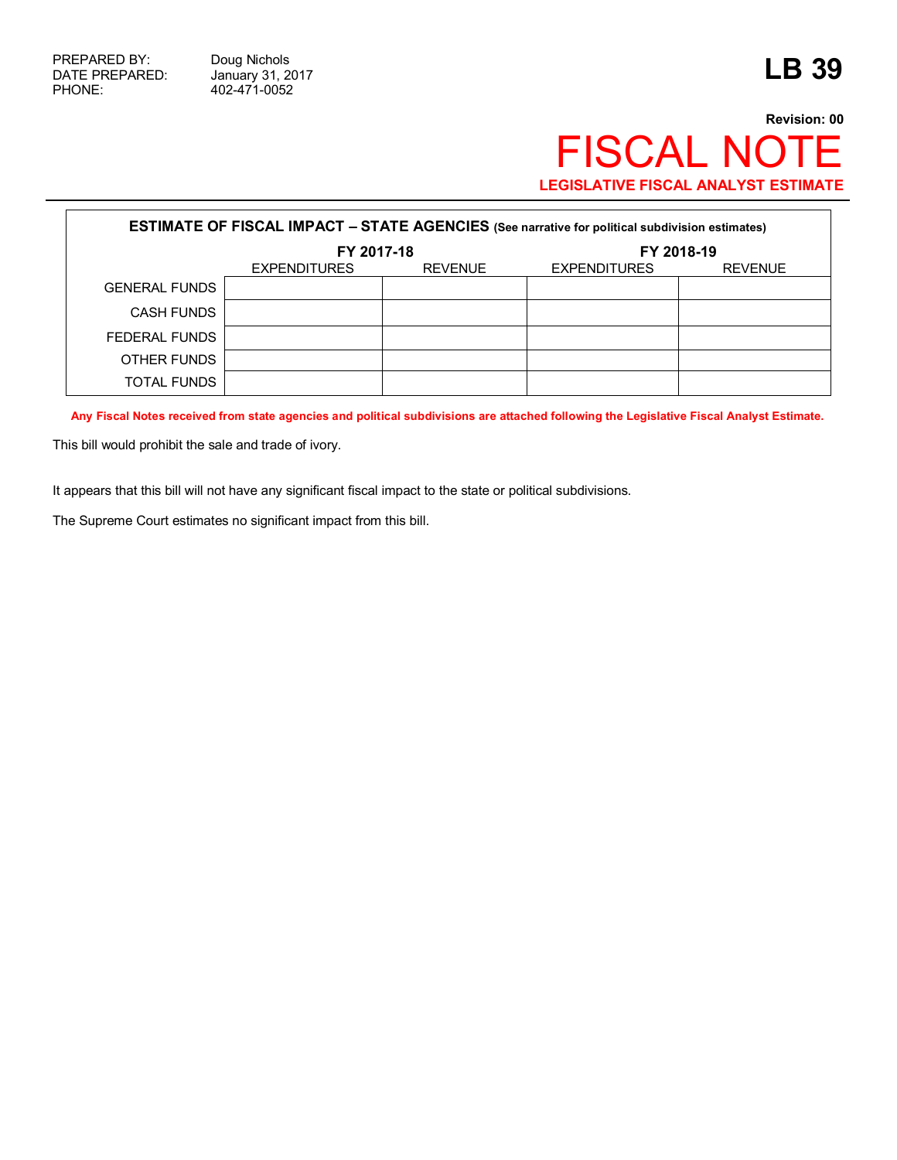## **Revision: 00** FISCAL NOTE **LEGISLATIVE FISCAL ANALYST ESTIMATE**

| <b>ESTIMATE OF FISCAL IMPACT - STATE AGENCIES (See narrative for political subdivision estimates)</b> |                     |                |                     |                |  |  |  |  |  |
|-------------------------------------------------------------------------------------------------------|---------------------|----------------|---------------------|----------------|--|--|--|--|--|
|                                                                                                       | FY 2017-18          |                | FY 2018-19          |                |  |  |  |  |  |
|                                                                                                       | <b>EXPENDITURES</b> | <b>REVENUE</b> | <b>EXPENDITURES</b> | <b>REVENUE</b> |  |  |  |  |  |
| <b>GENERAL FUNDS</b>                                                                                  |                     |                |                     |                |  |  |  |  |  |
| <b>CASH FUNDS</b>                                                                                     |                     |                |                     |                |  |  |  |  |  |
| FEDERAL FUNDS                                                                                         |                     |                |                     |                |  |  |  |  |  |
| OTHER FUNDS                                                                                           |                     |                |                     |                |  |  |  |  |  |
| <b>TOTAL FUNDS</b>                                                                                    |                     |                |                     |                |  |  |  |  |  |

**Any Fiscal Notes received from state agencies and political subdivisions are attached following the Legislative Fiscal Analyst Estimate.**

This bill would prohibit the sale and trade of ivory.

It appears that this bill will not have any significant fiscal impact to the state or political subdivisions.

The Supreme Court estimates no significant impact from this bill.